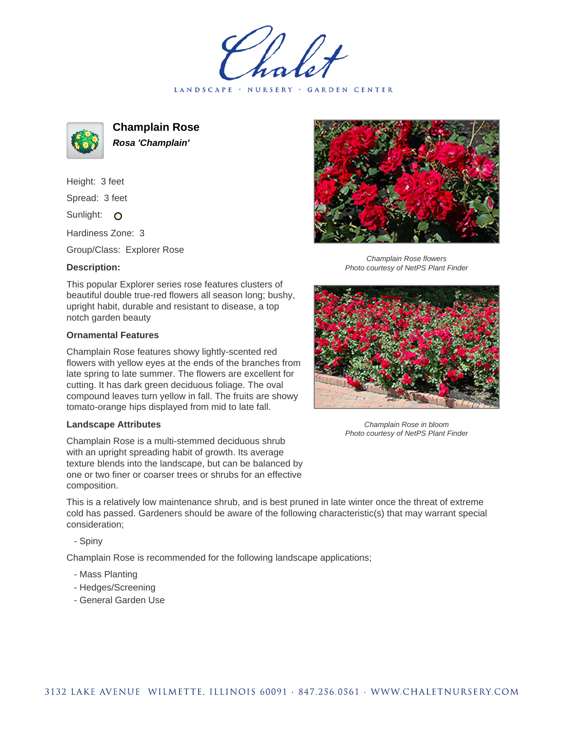LANDSCAPE · NURSERY · GARDEN CENTER



**Champlain Rose Rosa 'Champlain'**

Height: 3 feet Spread: 3 feet Sunlight: O

Hardiness Zone: 3

Group/Class: Explorer Rose

## **Description:**

This popular Explorer series rose features clusters of beautiful double true-red flowers all season long; bushy, upright habit, durable and resistant to disease, a top notch garden beauty

## **Ornamental Features**

Champlain Rose features showy lightly-scented red flowers with yellow eyes at the ends of the branches from late spring to late summer. The flowers are excellent for cutting. It has dark green deciduous foliage. The oval compound leaves turn yellow in fall. The fruits are showy tomato-orange hips displayed from mid to late fall.

## **Landscape Attributes**

Champlain Rose is a multi-stemmed deciduous shrub with an upright spreading habit of growth. Its average texture blends into the landscape, but can be balanced by one or two finer or coarser trees or shrubs for an effective composition.

This is a relatively low maintenance shrub, and is best pruned in late winter once the threat of extreme cold has passed. Gardeners should be aware of the following characteristic(s) that may warrant special consideration;

- Spiny

Champlain Rose is recommended for the following landscape applications;

- Mass Planting
- Hedges/Screening
- General Garden Use



Champlain Rose flowers Photo courtesy of NetPS Plant Finder



Champlain Rose in bloom Photo courtesy of NetPS Plant Finder